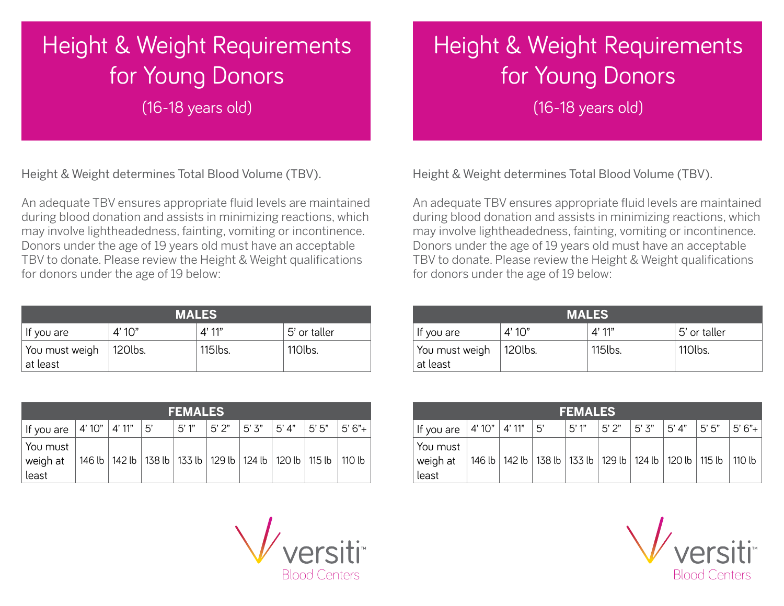## Height & Weight Requirements for Young Donors

(16-18 years old)

Height & Weight determines Total Blood Volume (TBV).

An adequate TBV ensures appropriate fluid levels are maintained during blood donation and assists in minimizing reactions, which may involve lightheadedness, fainting, vomiting or incontinence. Donors under the age of 19 years old must have an acceptable TBV to donate. Please review the Height & Weight qualifications for donors under the age of 19 below:

| <b>MALES</b>               |         |          |              |  |  |  |  |  |
|----------------------------|---------|----------|--------------|--|--|--|--|--|
| If you are                 | 4'10''  | $4'$ 11" | 5' or taller |  |  |  |  |  |
| You must weigh<br>at least | 120lbs. | 115lbs.  | 110lbs.      |  |  |  |  |  |

| <b>FEMALES</b>                             |  |  |                                                                                |                    |         |            |  |                  |  |  |  |
|--------------------------------------------|--|--|--------------------------------------------------------------------------------|--------------------|---------|------------|--|------------------|--|--|--|
| If you are   4' 10"   4' 11"   5'          |  |  |                                                                                | <sup>∣</sup> 5' 1" | l 5' 2" | 5'3'' 5'4" |  | $ 5'5'' 5'6''+ $ |  |  |  |
| <sub>i</sub> You must<br>weigh at<br>least |  |  | 146 lb   142 lb   138 lb   133 lb   129 lb   124 lb   120 lb   115 lb   110 lb |                    |         |            |  |                  |  |  |  |